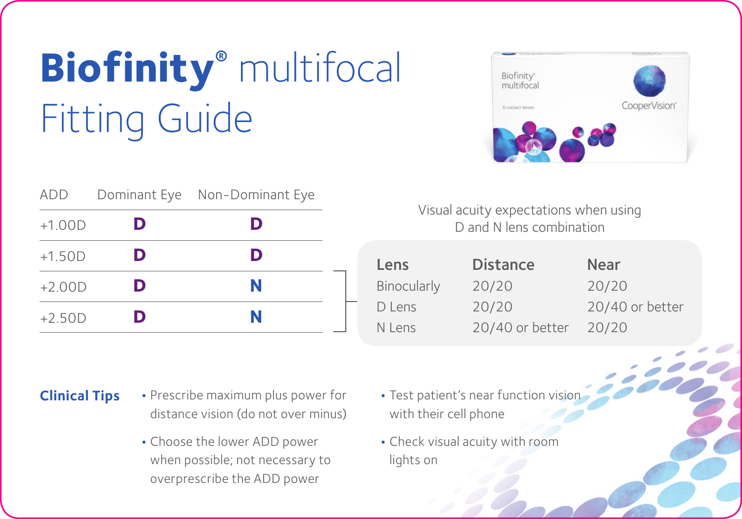## **Biofinity®** multifocal Fitting Guide

| add      |   | Dominant Eye Non-Dominant Eye |  |
|----------|---|-------------------------------|--|
| $+1.00D$ | D | D                             |  |
| $+1.50D$ | D | D                             |  |
| $+2.00D$ | D | N                             |  |
| $+2.50D$ | D | N                             |  |



## Visual acuity expectations when using D and N lens combination

| Lens          | <b>Distance</b> | Near            |
|---------------|-----------------|-----------------|
| Binocularly   | 20/20           | 20/20           |
| Diens         | 20/20           | 20/40 or better |
| <b>N</b> Lens | 20/40 or better | 20/20           |

- **Clinical Tips •** Prescribe maximum plus power for distance vision (do not over minus)
	- **•** Choose the lower ADD power when possible; not necessary to overprescribe the ADD power
- **•** Test patient's near function vision with their cell phone
- **•** Check visual acuity with room lights on